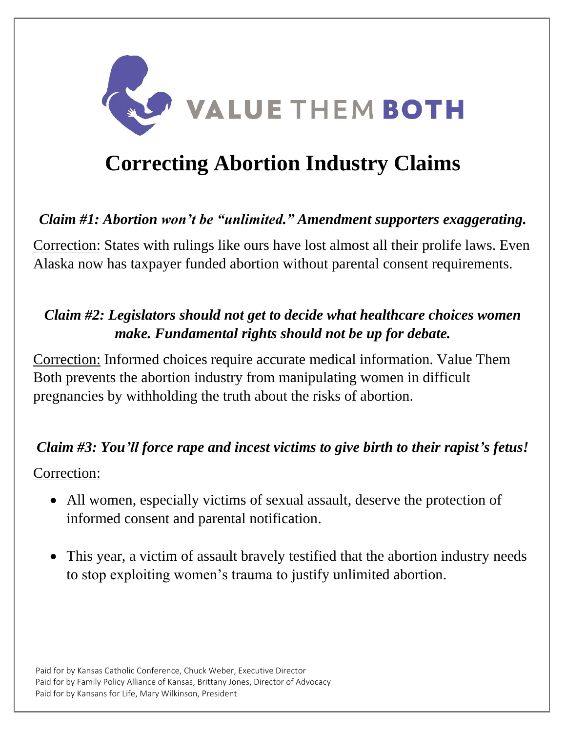

# **Correcting Abortion Industry Claims**

## *Claim #1: Abortion won't be "unlimited." Amendment supporters exaggerating.*

Correction: States with rulings like ours have lost almost all their prolife laws. Even Alaska now has taxpayer funded abortion without parental consent requirements.

## *Claim #2: Legislators should not get to decide what healthcare choices women make. Fundamental rights should not be up for debate.*

Correction: Informed choices require accurate medical information. Value Them Both prevents the abortion industry from manipulating women in difficult pregnancies by withholding the truth about the risks of abortion.

#### *Claim #3: You'll force rape and incest victims to give birth to their rapist's fetus!*

Correction:

- All women, especially victims of sexual assault, deserve the protection of informed consent and parental notification.
- This year, a victim of assault bravely testified that the abortion industry needs to stop exploiting women's trauma to justify unlimited abortion.

Paid for by Kansas Catholic Conference, Chuck Weber, Executive Director Paid for by Family Policy Alliance of Kansas, Brittany Jones, Director of Advocacy Paid for by Kansans for Life, Mary Wilkinson, President